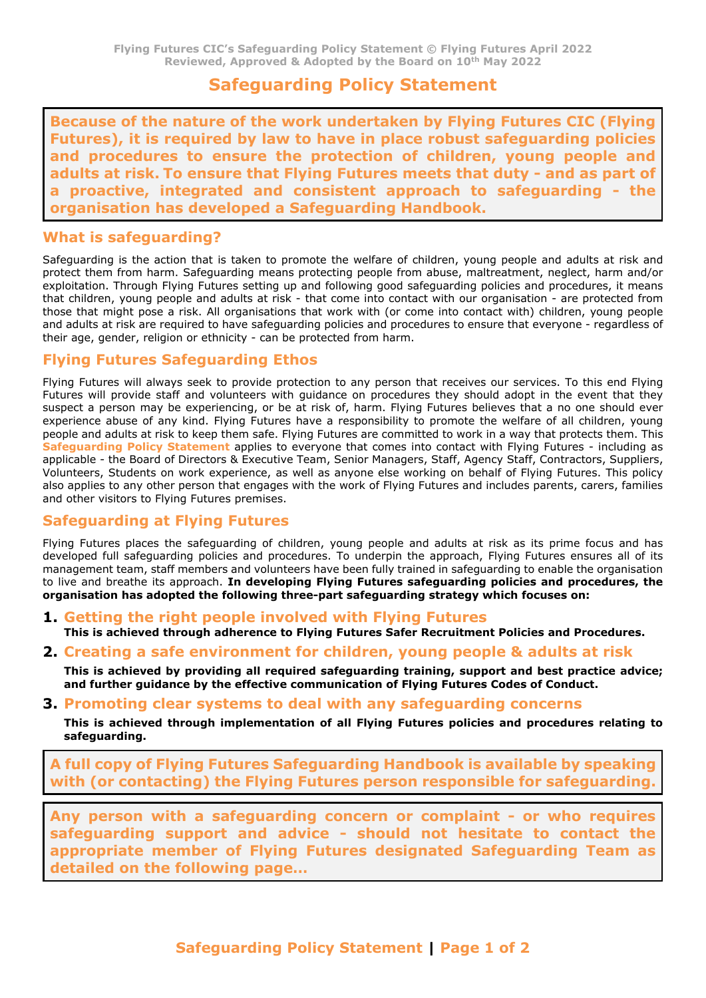# **Safeguarding Policy Statement**

**Because of the nature of the work undertaken by Flying Futures CIC (Flying Futures), it is required by law to have in place robust safeguarding policies and procedures to ensure the protection of children, young people and adults at risk. To ensure that Flying Futures meets that duty - and as part of a proactive, integrated and consistent approach to safeguarding - the organisation has developed a Safeguarding Handbook.** 

### **What is safeguarding?**

Safeguarding is the action that is taken to promote the welfare of children, young people and adults at risk and protect them from harm. Safeguarding means protecting people from abuse, maltreatment, neglect, harm and/or exploitation. Through Flying Futures setting up and following good safeguarding policies and procedures, it means that children, young people and adults at risk - that come into contact with our organisation - are protected from those that might pose a risk. All organisations that work with (or come into contact with) children, young people and adults at risk are required to have safeguarding policies and procedures to ensure that everyone - regardless of their age, gender, religion or ethnicity - can be protected from harm.

### **Flying Futures Safeguarding Ethos**

Flying Futures will always seek to provide protection to any person that receives our services. To this end Flying Futures will provide staff and volunteers with guidance on procedures they should adopt in the event that they suspect a person may be experiencing, or be at risk of, harm. Flying Futures believes that a no one should ever experience abuse of any kind. Flying Futures have a responsibility to promote the welfare of all children, young people and adults at risk to keep them safe. Flying Futures are committed to work in a way that protects them. This **Safeguarding Policy Statement** applies to everyone that comes into contact with Flying Futures - including as applicable - the Board of Directors & Executive Team, Senior Managers, Staff, Agency Staff, Contractors, Suppliers, Volunteers, Students on work experience, as well as anyone else working on behalf of Flying Futures. This policy also applies to any other person that engages with the work of Flying Futures and includes parents, carers, families and other visitors to Flying Futures premises.

### **Safeguarding at Flying Futures**

Flying Futures places the safeguarding of children, young people and adults at risk as its prime focus and has developed full safeguarding policies and procedures. To underpin the approach, Flying Futures ensures all of its management team, staff members and volunteers have been fully trained in safeguarding to enable the organisation to live and breathe its approach. **In developing Flying Futures safeguarding policies and procedures, the organisation has adopted the following three-part safeguarding strategy which focuses on:** 

- **1. Getting the right people involved with Flying Futures This is achieved through adherence to Flying Futures Safer Recruitment Policies and Procedures.**
- **2. Creating a safe environment for children, young people & adults at risk**

**This is achieved by providing all required safeguarding training, support and best practice advice; and further guidance by the effective communication of Flying Futures Codes of Conduct.** 

**3. Promoting clear systems to deal with any safeguarding concerns**

**This is achieved through implementation of all Flying Futures policies and procedures relating to safeguarding.** 

**A full copy of Flying Futures Safeguarding Handbook is available by speaking with (or contacting) the Flying Futures person responsible for safeguarding.**

**Any person with a safeguarding concern or complaint - or who requires safeguarding support and advice - should not hesitate to contact the appropriate member of Flying Futures designated Safeguarding Team as detailed on the following page…**